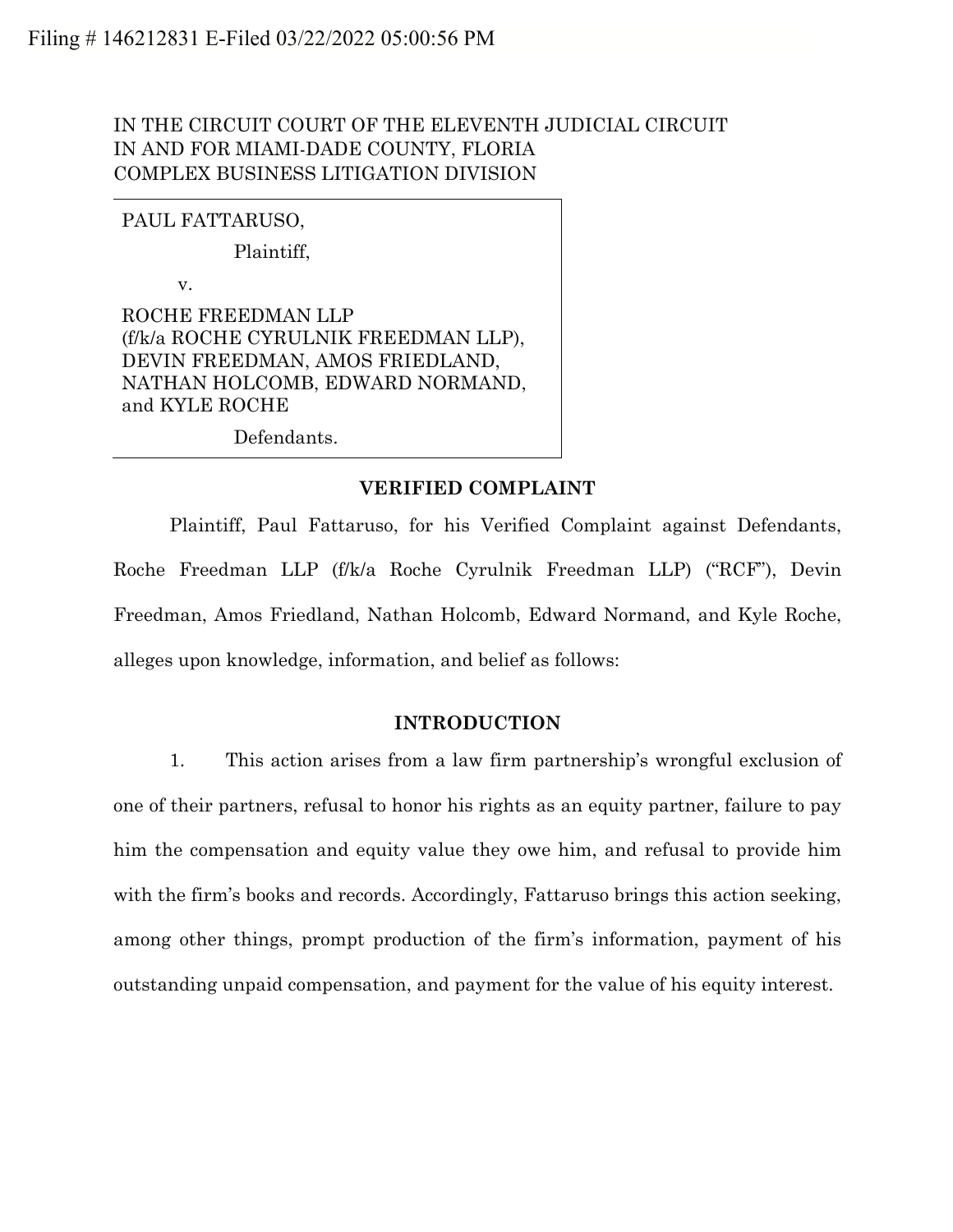# IN THE CIRCUIT COURT OF THE ELEVENTH JUDICIAL CIRCUIT IN AND FOR MIAMI-DADE COUNTY, FLORIA COMPLEX BUSINESS LITIGATION DIVISION

## PAUL FATTARUSO,

Plaintiff,

v.

ROCHE FREEDMAN LLP (f/k/a ROCHE CYRULNIK FREEDMAN LLP), DEVIN FREEDMAN, AMOS FRIEDLAND, NATHAN HOLCOMB, EDWARD NORMAND, and KYLE ROCHE

Defendants.

#### **VERIFIED COMPLAINT**

Plaintiff, Paul Fattaruso, for his Verified Complaint against Defendants, Roche Freedman LLP (f/k/a Roche Cyrulnik Freedman LLP) ("RCF"), Devin Freedman, Amos Friedland, Nathan Holcomb, Edward Normand, and Kyle Roche, alleges upon knowledge, information, and belief as follows:

#### **INTRODUCTION**

1. This action arises from a law firm partnership's wrongful exclusion of one of their partners, refusal to honor his rights as an equity partner, failure to pay him the compensation and equity value they owe him, and refusal to provide him with the firm's books and records. Accordingly, Fattaruso brings this action seeking, among other things, prompt production of the firm's information, payment of his outstanding unpaid compensation, and payment for the value of his equity interest.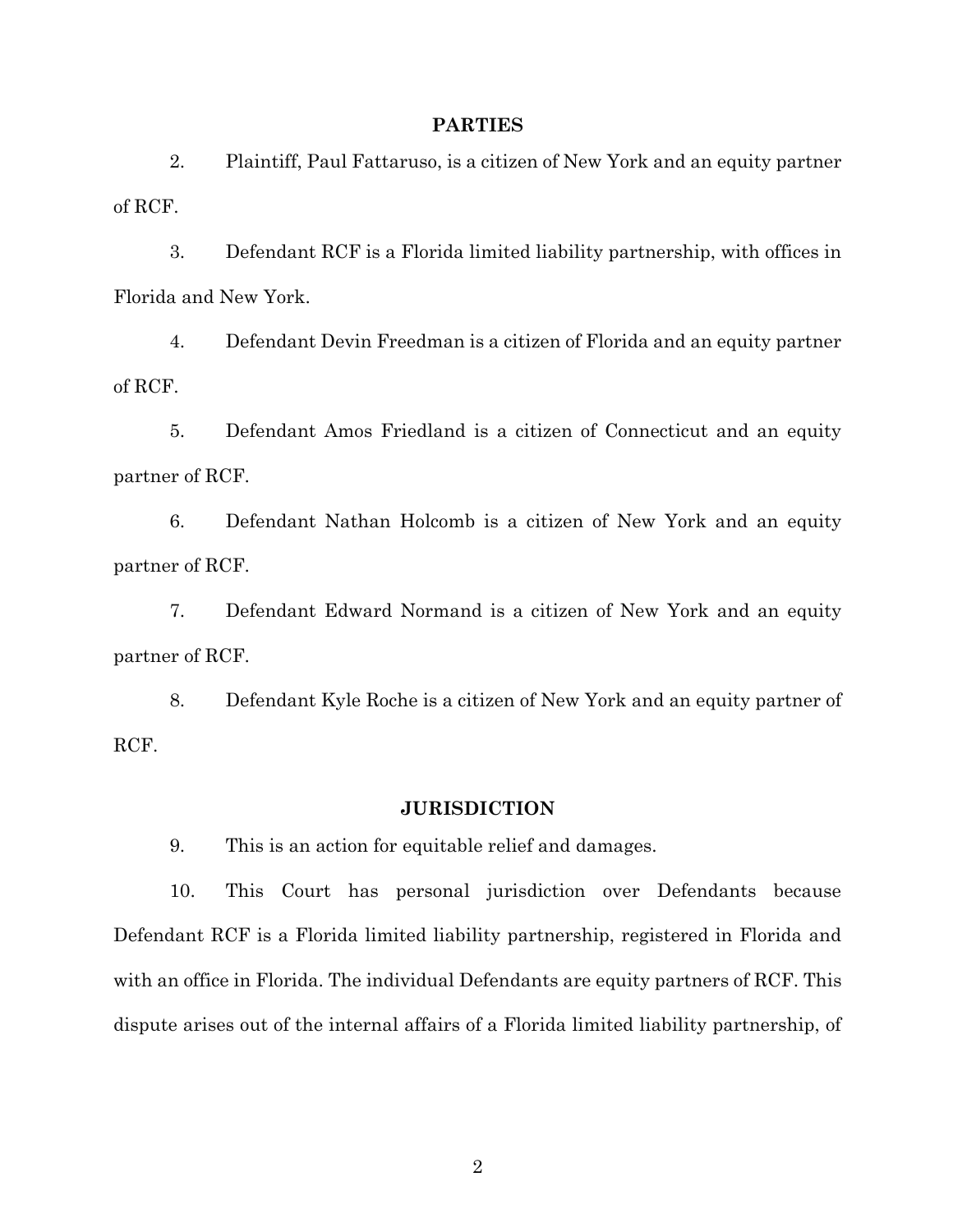#### **PARTIES**

2. Plaintiff, Paul Fattaruso, is a citizen of New York and an equity partner of RCF.

3. Defendant RCF is a Florida limited liability partnership, with offices in Florida and New York.

4. Defendant Devin Freedman is a citizen of Florida and an equity partner of RCF.

5. Defendant Amos Friedland is a citizen of Connecticut and an equity partner of RCF.

6. Defendant Nathan Holcomb is a citizen of New York and an equity partner of RCF.

7. Defendant Edward Normand is a citizen of New York and an equity partner of RCF.

8. Defendant Kyle Roche is a citizen of New York and an equity partner of RCF.

#### **JURISDICTION**

9. This is an action for equitable relief and damages.

10. This Court has personal jurisdiction over Defendants because Defendant RCF is a Florida limited liability partnership, registered in Florida and with an office in Florida. The individual Defendants are equity partners of RCF. This dispute arises out of the internal affairs of a Florida limited liability partnership, of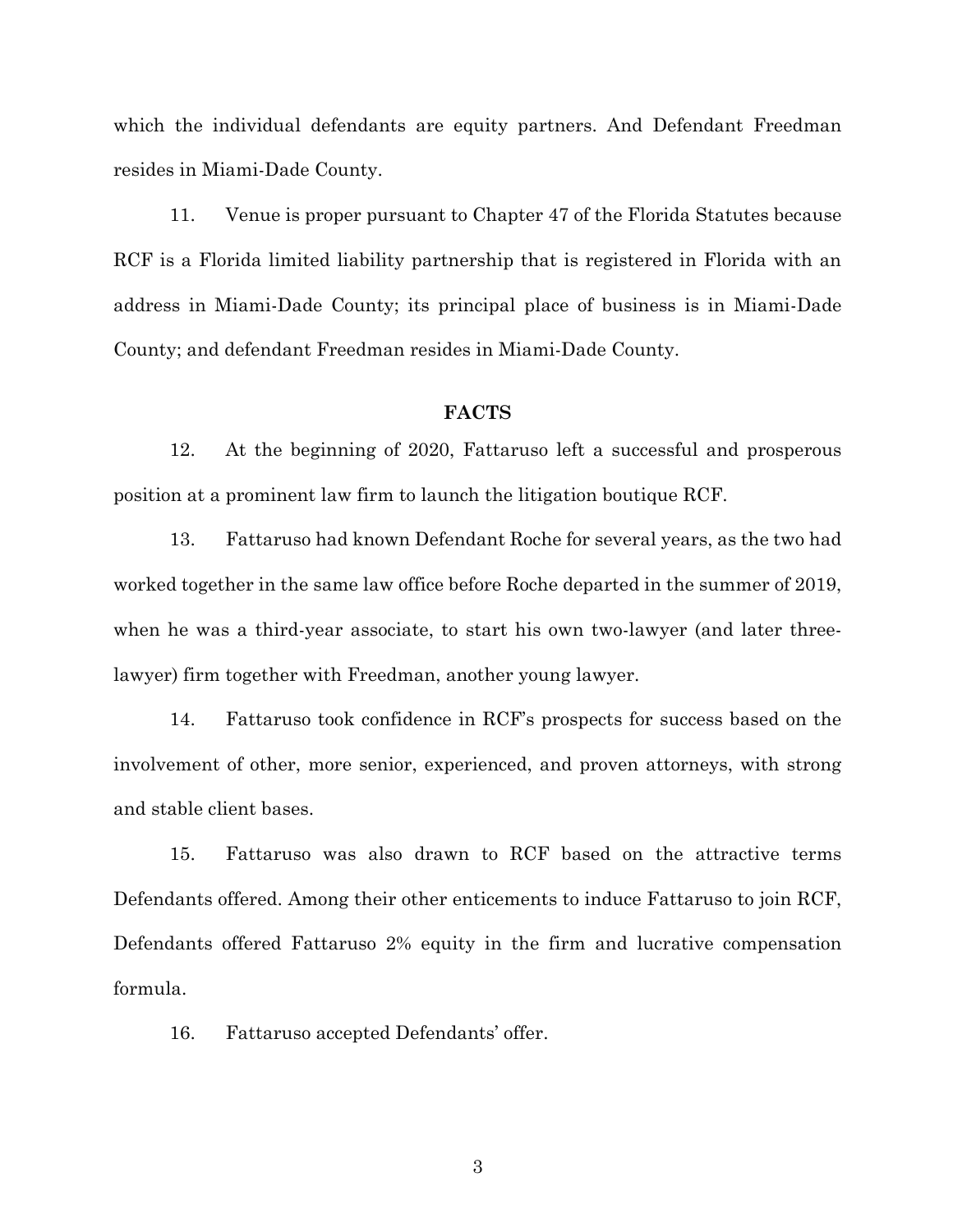which the individual defendants are equity partners. And Defendant Freedman resides in Miami-Dade County.

11. Venue is proper pursuant to Chapter 47 of the Florida Statutes because RCF is a Florida limited liability partnership that is registered in Florida with an address in Miami-Dade County; its principal place of business is in Miami-Dade County; and defendant Freedman resides in Miami-Dade County.

#### **FACTS**

12. At the beginning of 2020, Fattaruso left a successful and prosperous position at a prominent law firm to launch the litigation boutique RCF.

13. Fattaruso had known Defendant Roche for several years, as the two had worked together in the same law office before Roche departed in the summer of 2019, when he was a third-year associate, to start his own two-lawyer (and later threelawyer) firm together with Freedman, another young lawyer.

14. Fattaruso took confidence in RCF's prospects for success based on the involvement of other, more senior, experienced, and proven attorneys, with strong and stable client bases.

15. Fattaruso was also drawn to RCF based on the attractive terms Defendants offered. Among their other enticements to induce Fattaruso to join RCF, Defendants offered Fattaruso 2% equity in the firm and lucrative compensation formula.

16. Fattaruso accepted Defendants' offer.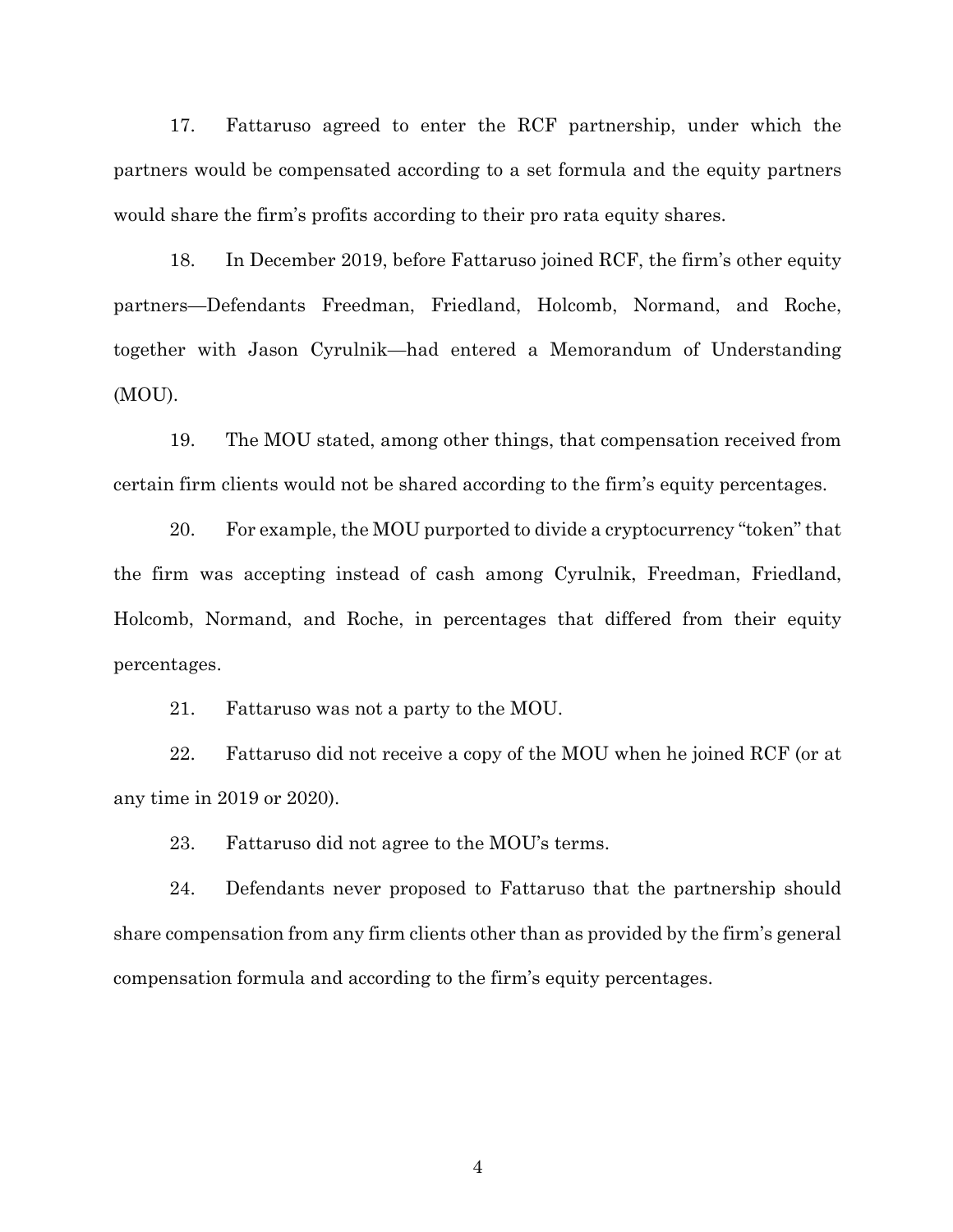17. Fattaruso agreed to enter the RCF partnership, under which the partners would be compensated according to a set formula and the equity partners would share the firm's profits according to their pro rata equity shares.

18. In December 2019, before Fattaruso joined RCF, the firm's other equity partners—Defendants Freedman, Friedland, Holcomb, Normand, and Roche, together with Jason Cyrulnik—had entered a Memorandum of Understanding (MOU).

19. The MOU stated, among other things, that compensation received from certain firm clients would not be shared according to the firm's equity percentages.

20. For example, the MOU purported to divide a cryptocurrency "token" that the firm was accepting instead of cash among Cyrulnik, Freedman, Friedland, Holcomb, Normand, and Roche, in percentages that differed from their equity percentages.

21. Fattaruso was not a party to the MOU.

22. Fattaruso did not receive a copy of the MOU when he joined RCF (or at any time in 2019 or 2020).

23. Fattaruso did not agree to the MOU's terms.

24. Defendants never proposed to Fattaruso that the partnership should share compensation from any firm clients other than as provided by the firm's general compensation formula and according to the firm's equity percentages.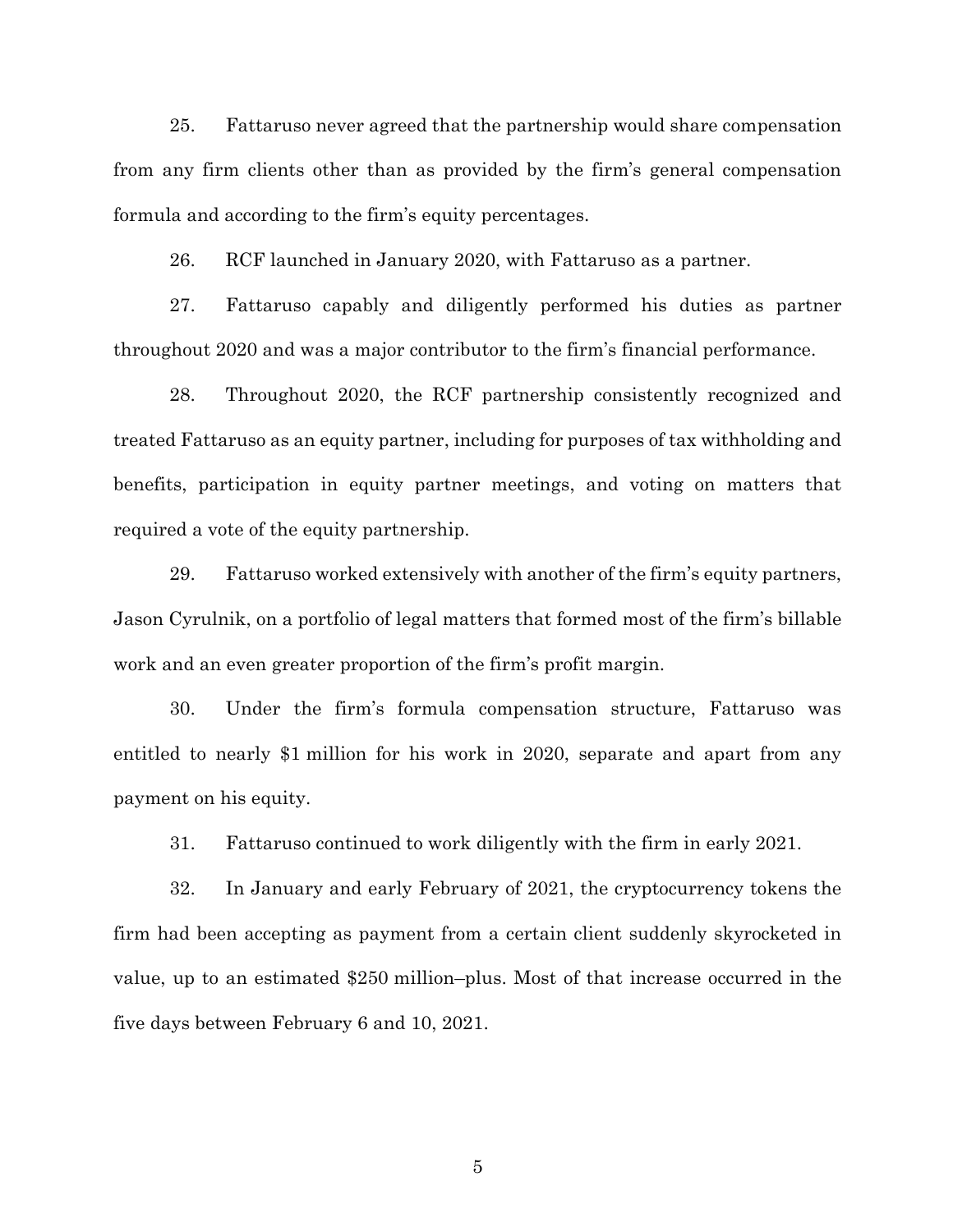25. Fattaruso never agreed that the partnership would share compensation from any firm clients other than as provided by the firm's general compensation formula and according to the firm's equity percentages.

26. RCF launched in January 2020, with Fattaruso as a partner.

27. Fattaruso capably and diligently performed his duties as partner throughout 2020 and was a major contributor to the firm's financial performance.

28. Throughout 2020, the RCF partnership consistently recognized and treated Fattaruso as an equity partner, including for purposes of tax withholding and benefits, participation in equity partner meetings, and voting on matters that required a vote of the equity partnership.

29. Fattaruso worked extensively with another of the firm's equity partners, Jason Cyrulnik, on a portfolio of legal matters that formed most of the firm's billable work and an even greater proportion of the firm's profit margin.

30. Under the firm's formula compensation structure, Fattaruso was entitled to nearly \$1 million for his work in 2020, separate and apart from any payment on his equity.

31. Fattaruso continued to work diligently with the firm in early 2021.

32. In January and early February of 2021, the cryptocurrency tokens the firm had been accepting as payment from a certain client suddenly skyrocketed in value, up to an estimated \$250 million–plus. Most of that increase occurred in the five days between February 6 and 10, 2021.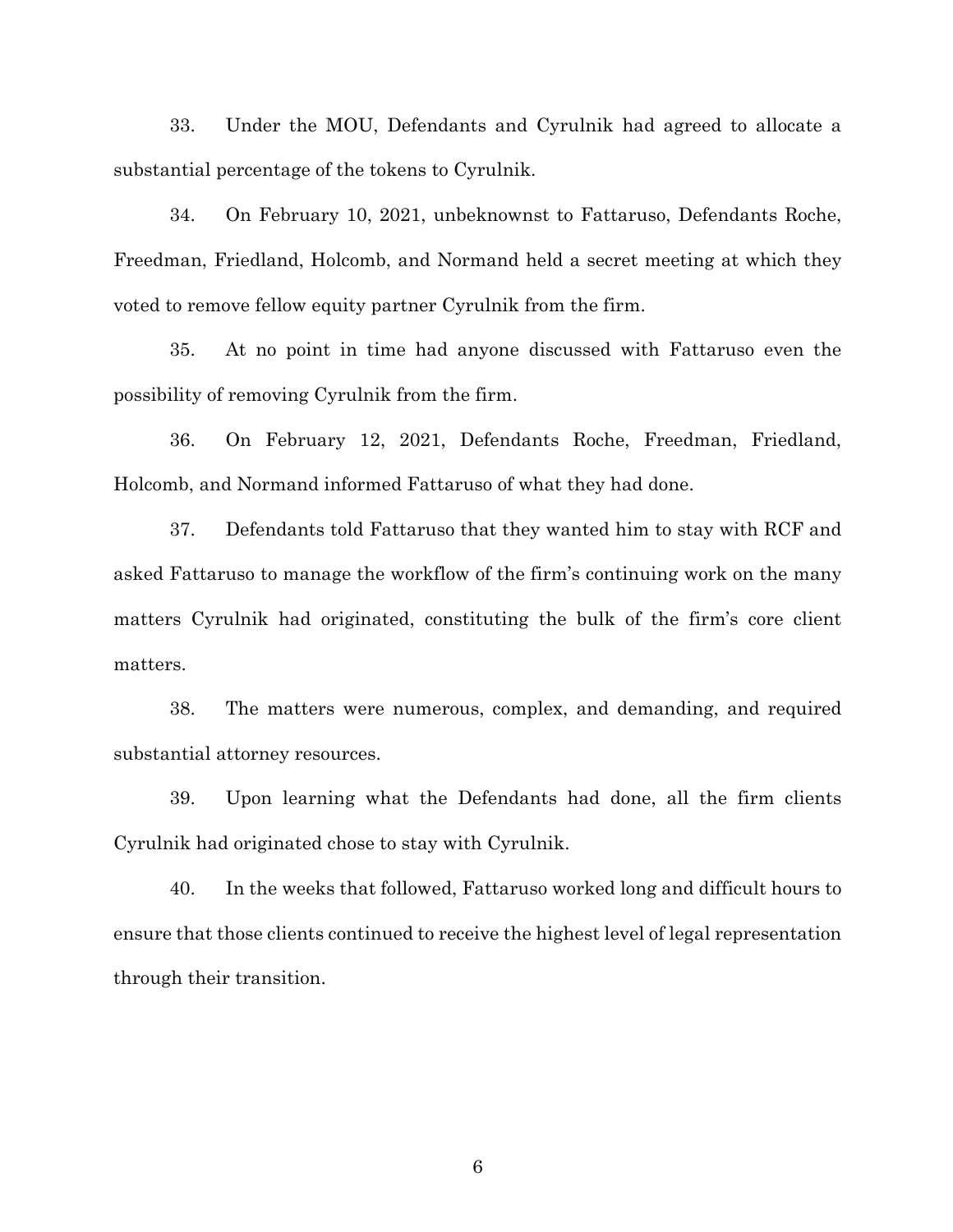33. Under the MOU, Defendants and Cyrulnik had agreed to allocate a substantial percentage of the tokens to Cyrulnik.

34. On February 10, 2021, unbeknownst to Fattaruso, Defendants Roche, Freedman, Friedland, Holcomb, and Normand held a secret meeting at which they voted to remove fellow equity partner Cyrulnik from the firm.

35. At no point in time had anyone discussed with Fattaruso even the possibility of removing Cyrulnik from the firm.

36. On February 12, 2021, Defendants Roche, Freedman, Friedland, Holcomb, and Normand informed Fattaruso of what they had done.

37. Defendants told Fattaruso that they wanted him to stay with RCF and asked Fattaruso to manage the workflow of the firm's continuing work on the many matters Cyrulnik had originated, constituting the bulk of the firm's core client matters.

38. The matters were numerous, complex, and demanding, and required substantial attorney resources.

39. Upon learning what the Defendants had done, all the firm clients Cyrulnik had originated chose to stay with Cyrulnik.

40. In the weeks that followed, Fattaruso worked long and difficult hours to ensure that those clients continued to receive the highest level of legal representation through their transition.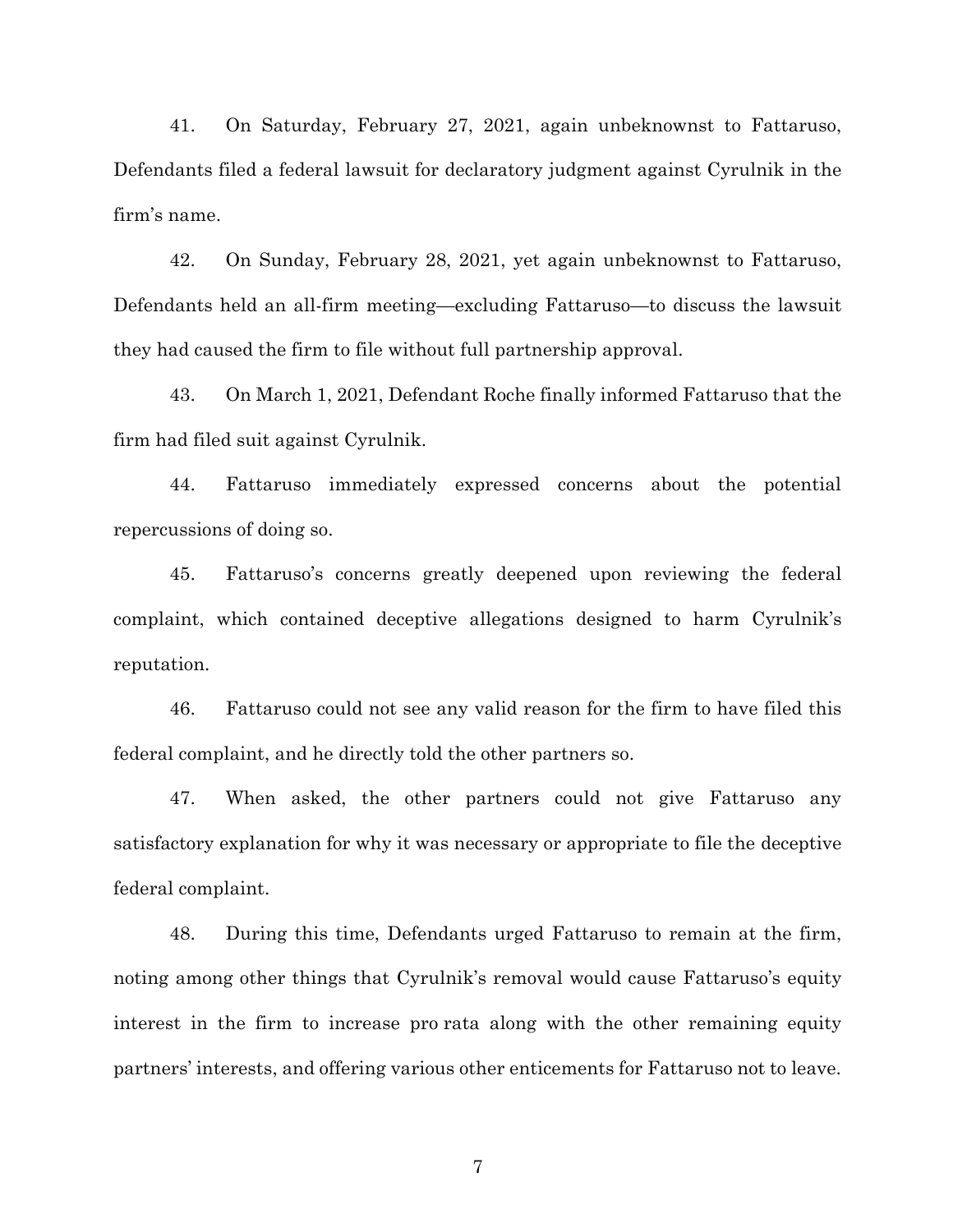41. On Saturday, February 27, 2021, again unbeknownst to Fattaruso, Defendants filed a federal lawsuit for declaratory judgment against Cyrulnik in the firm's name.

42. On Sunday, February 28, 2021, yet again unbeknownst to Fattaruso, Defendants held an all-firm meeting—excluding Fattaruso—to discuss the lawsuit they had caused the firm to file without full partnership approval.

43. On March 1, 2021, Defendant Roche finally informed Fattaruso that the firm had filed suit against Cyrulnik.

44. Fattaruso immediately expressed concerns about the potential repercussions of doing so.

45. Fattaruso's concerns greatly deepened upon reviewing the federal complaint, which contained deceptive allegations designed to harm Cyrulnik's reputation.

46. Fattaruso could not see any valid reason for the firm to have filed this federal complaint, and he directly told the other partners so.

47. When asked, the other partners could not give Fattaruso any satisfactory explanation for why it was necessary or appropriate to file the deceptive federal complaint.

48. During this time, Defendants urged Fattaruso to remain at the firm, noting among other things that Cyrulnik's removal would cause Fattaruso's equity interest in the firm to increase pro rata along with the other remaining equity partners' interests, and offering various other enticements for Fattaruso not to leave.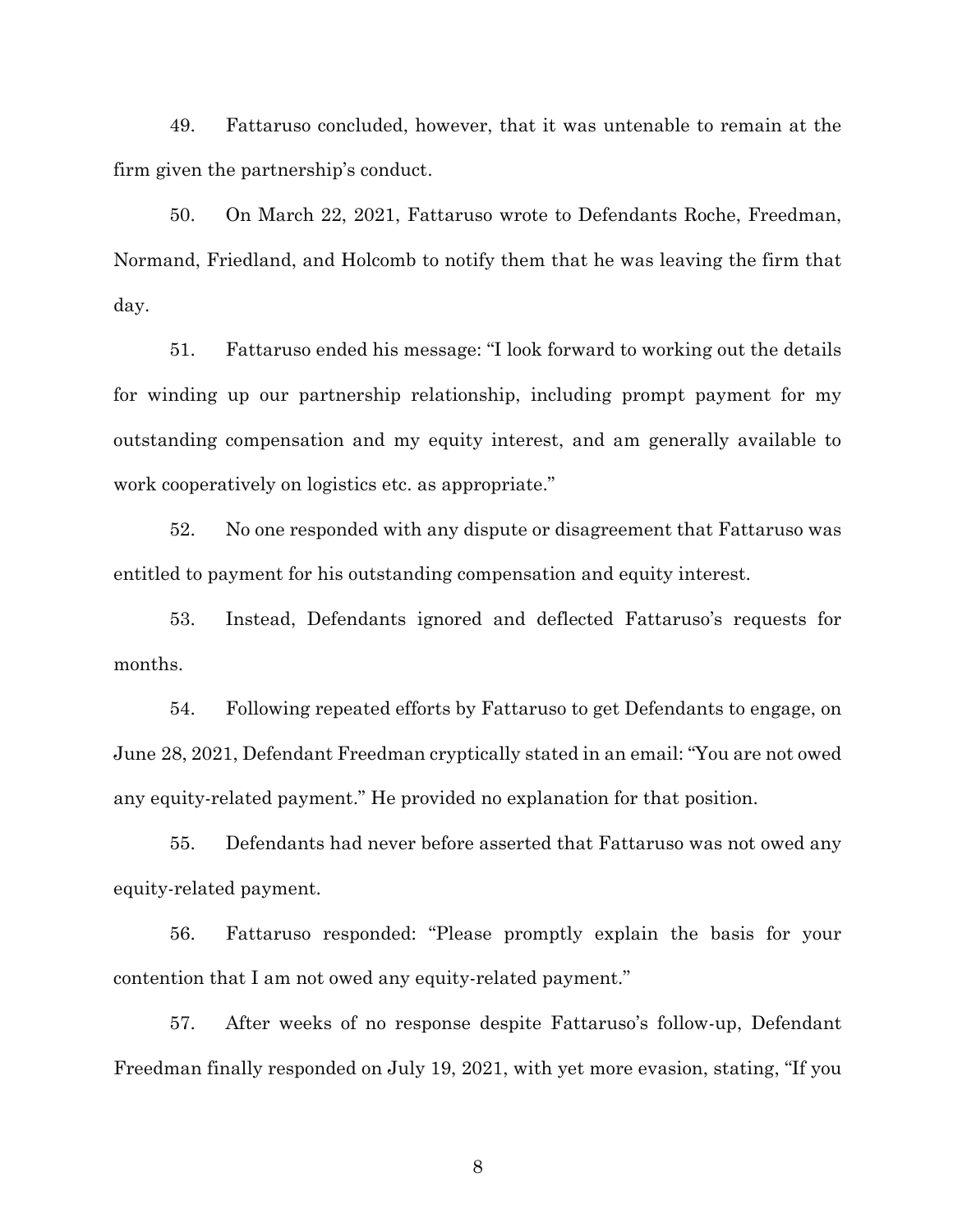49. Fattaruso concluded, however, that it was untenable to remain at the firm given the partnership's conduct.

50. On March 22, 2021, Fattaruso wrote to Defendants Roche, Freedman, Normand, Friedland, and Holcomb to notify them that he was leaving the firm that day.

51. Fattaruso ended his message: "I look forward to working out the details for winding up our partnership relationship, including prompt payment for my outstanding compensation and my equity interest, and am generally available to work cooperatively on logistics etc. as appropriate."

52. No one responded with any dispute or disagreement that Fattaruso was entitled to payment for his outstanding compensation and equity interest.

53. Instead, Defendants ignored and deflected Fattaruso's requests for months.

54. Following repeated efforts by Fattaruso to get Defendants to engage, on June 28, 2021, Defendant Freedman cryptically stated in an email: "You are not owed any equity-related payment." He provided no explanation for that position.

55. Defendants had never before asserted that Fattaruso was not owed any equity-related payment.

56. Fattaruso responded: "Please promptly explain the basis for your contention that I am not owed any equity-related payment."

57. After weeks of no response despite Fattaruso's follow-up, Defendant Freedman finally responded on July 19, 2021, with yet more evasion, stating, "If you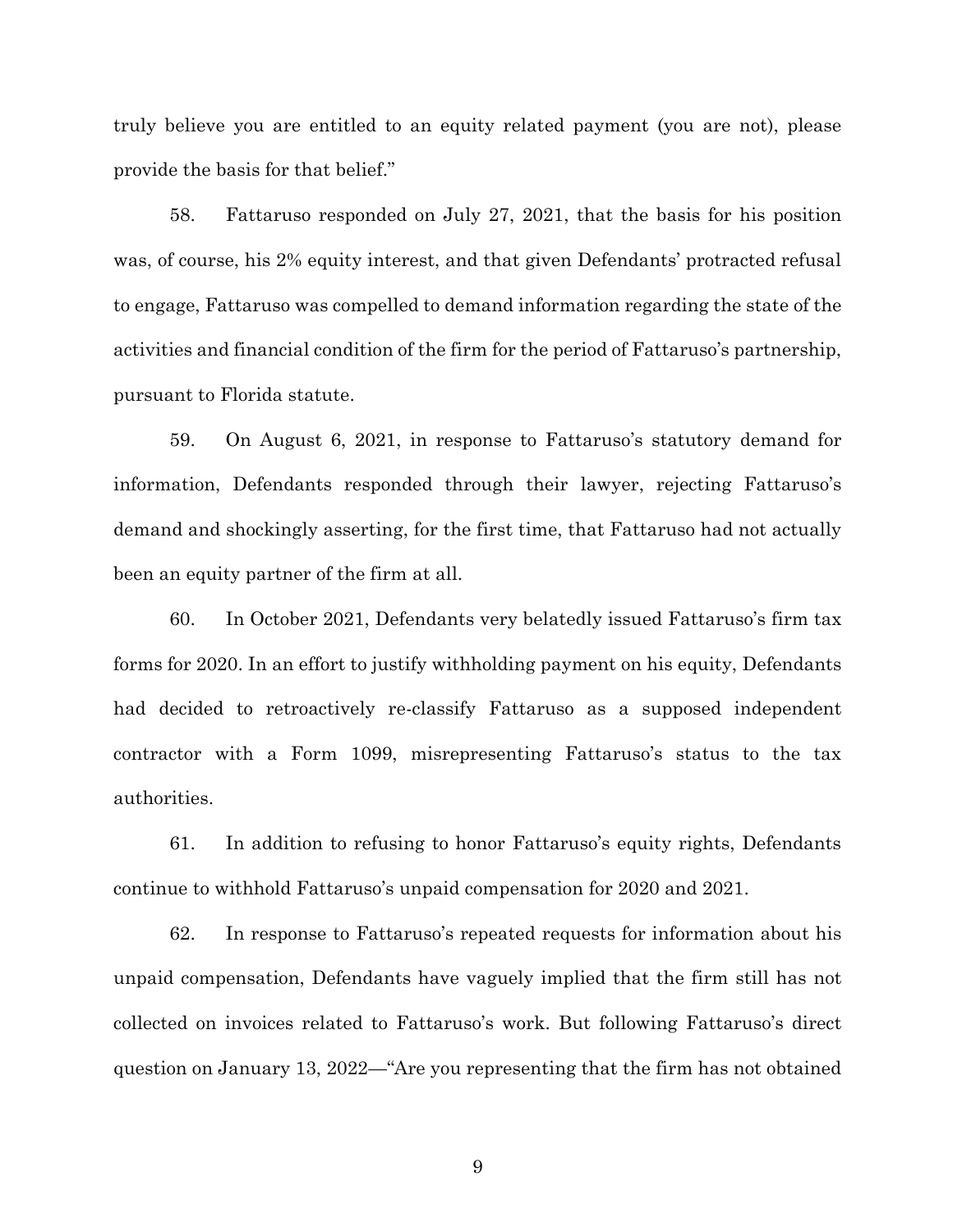truly believe you are entitled to an equity related payment (you are not), please provide the basis for that belief."

58. Fattaruso responded on July 27, 2021, that the basis for his position was, of course, his 2% equity interest, and that given Defendants' protracted refusal to engage, Fattaruso was compelled to demand information regarding the state of the activities and financial condition of the firm for the period of Fattaruso's partnership, pursuant to Florida statute.

59. On August 6, 2021, in response to Fattaruso's statutory demand for information, Defendants responded through their lawyer, rejecting Fattaruso's demand and shockingly asserting, for the first time, that Fattaruso had not actually been an equity partner of the firm at all.

60. In October 2021, Defendants very belatedly issued Fattaruso's firm tax forms for 2020. In an effort to justify withholding payment on his equity, Defendants had decided to retroactively re-classify Fattaruso as a supposed independent contractor with a Form 1099, misrepresenting Fattaruso's status to the tax authorities.

61. In addition to refusing to honor Fattaruso's equity rights, Defendants continue to withhold Fattaruso's unpaid compensation for 2020 and 2021.

62. In response to Fattaruso's repeated requests for information about his unpaid compensation, Defendants have vaguely implied that the firm still has not collected on invoices related to Fattaruso's work. But following Fattaruso's direct question on January 13, 2022—"Are you representing that the firm has not obtained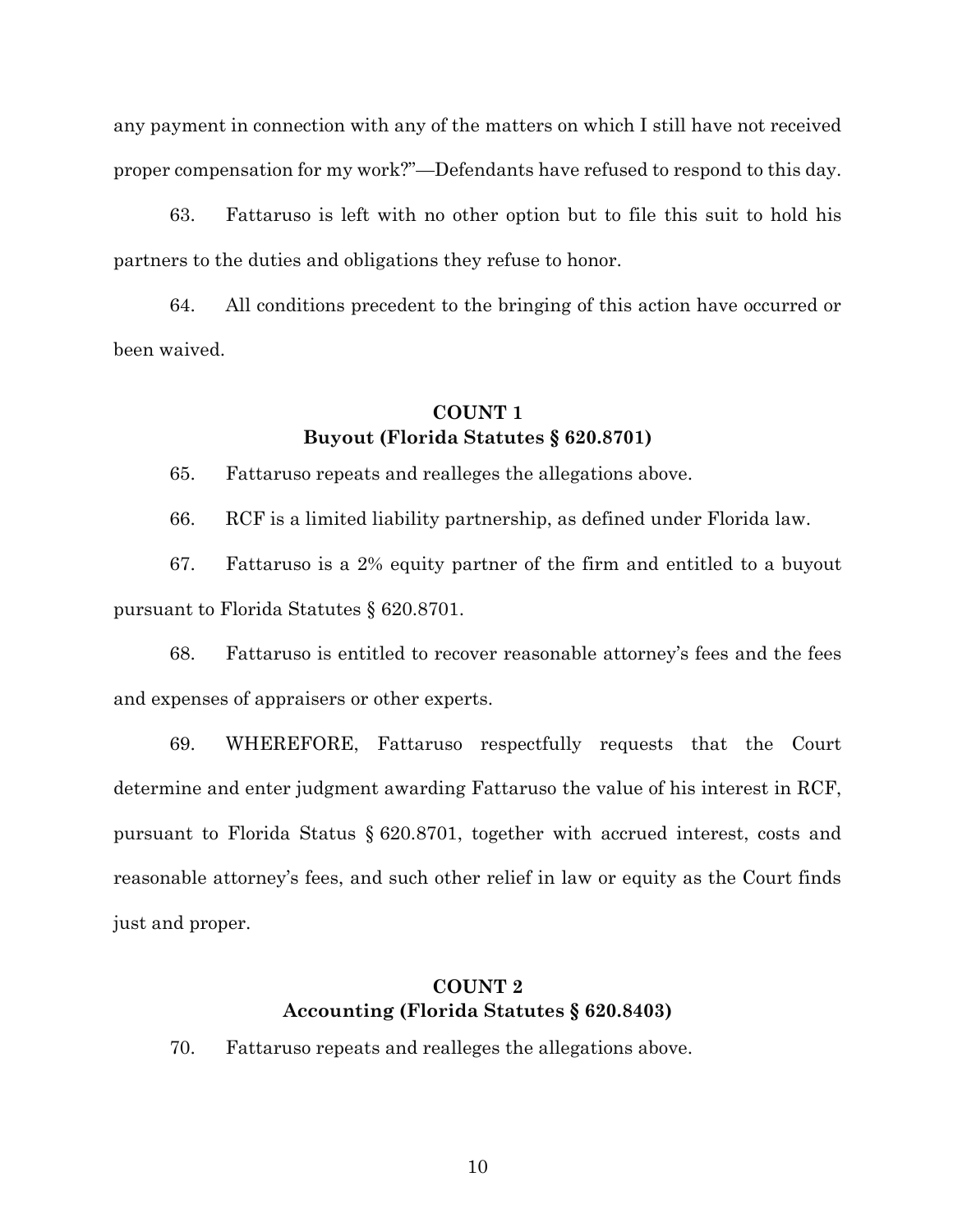any payment in connection with any of the matters on which I still have not received proper compensation for my work?"—Defendants have refused to respond to this day.

63. Fattaruso is left with no other option but to file this suit to hold his partners to the duties and obligations they refuse to honor.

64. All conditions precedent to the bringing of this action have occurred or been waived.

## **COUNT 1 Buyout (Florida Statutes § 620.8701)**

65. Fattaruso repeats and realleges the allegations above.

66. RCF is a limited liability partnership, as defined under Florida law.

67. Fattaruso is a 2% equity partner of the firm and entitled to a buyout pursuant to Florida Statutes § 620.8701.

68. Fattaruso is entitled to recover reasonable attorney's fees and the fees and expenses of appraisers or other experts.

69. WHEREFORE, Fattaruso respectfully requests that the Court determine and enter judgment awarding Fattaruso the value of his interest in RCF, pursuant to Florida Status § 620.8701, together with accrued interest, costs and reasonable attorney's fees, and such other relief in law or equity as the Court finds just and proper.

# **COUNT 2 Accounting (Florida Statutes § 620.8403)**

70. Fattaruso repeats and realleges the allegations above.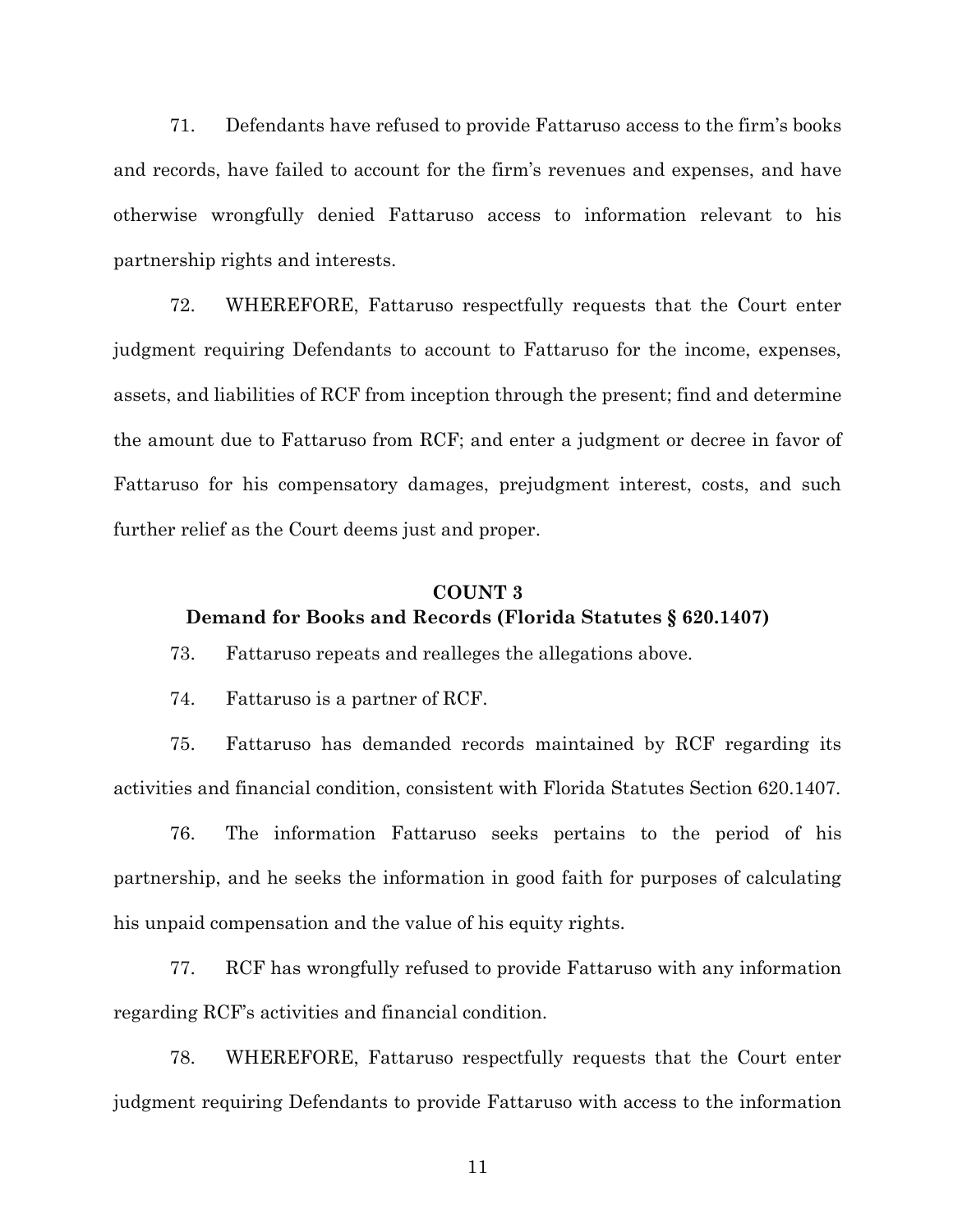71. Defendants have refused to provide Fattaruso access to the firm's books and records, have failed to account for the firm's revenues and expenses, and have otherwise wrongfully denied Fattaruso access to information relevant to his partnership rights and interests.

72. WHEREFORE, Fattaruso respectfully requests that the Court enter judgment requiring Defendants to account to Fattaruso for the income, expenses, assets, and liabilities of RCF from inception through the present; find and determine the amount due to Fattaruso from RCF; and enter a judgment or decree in favor of Fattaruso for his compensatory damages, prejudgment interest, costs, and such further relief as the Court deems just and proper.

## **COUNT 3 Demand for Books and Records (Florida Statutes § 620.1407)**

73. Fattaruso repeats and realleges the allegations above.

74. Fattaruso is a partner of RCF.

75. Fattaruso has demanded records maintained by RCF regarding its activities and financial condition, consistent with Florida Statutes Section 620.1407.

76. The information Fattaruso seeks pertains to the period of his partnership, and he seeks the information in good faith for purposes of calculating his unpaid compensation and the value of his equity rights.

77. RCF has wrongfully refused to provide Fattaruso with any information regarding RCF's activities and financial condition.

78. WHEREFORE, Fattaruso respectfully requests that the Court enter judgment requiring Defendants to provide Fattaruso with access to the information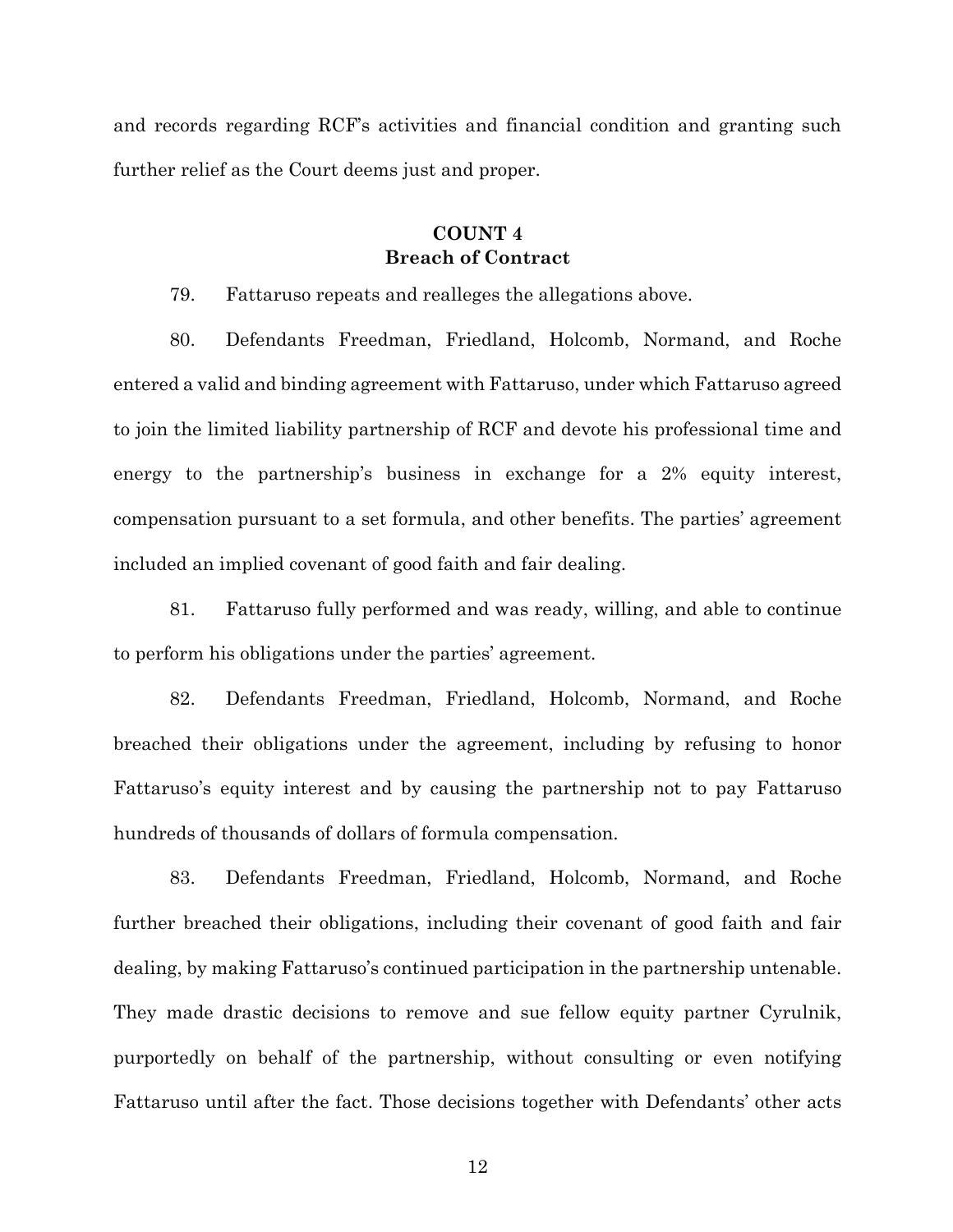and records regarding RCF's activities and financial condition and granting such further relief as the Court deems just and proper.

# **COUNT 4 Breach of Contract**

79. Fattaruso repeats and realleges the allegations above.

80. Defendants Freedman, Friedland, Holcomb, Normand, and Roche entered a valid and binding agreement with Fattaruso, under which Fattaruso agreed to join the limited liability partnership of RCF and devote his professional time and energy to the partnership's business in exchange for a 2% equity interest, compensation pursuant to a set formula, and other benefits. The parties' agreement included an implied covenant of good faith and fair dealing.

81. Fattaruso fully performed and was ready, willing, and able to continue to perform his obligations under the parties' agreement.

82. Defendants Freedman, Friedland, Holcomb, Normand, and Roche breached their obligations under the agreement, including by refusing to honor Fattaruso's equity interest and by causing the partnership not to pay Fattaruso hundreds of thousands of dollars of formula compensation.

83. Defendants Freedman, Friedland, Holcomb, Normand, and Roche further breached their obligations, including their covenant of good faith and fair dealing, by making Fattaruso's continued participation in the partnership untenable. They made drastic decisions to remove and sue fellow equity partner Cyrulnik, purportedly on behalf of the partnership, without consulting or even notifying Fattaruso until after the fact. Those decisions together with Defendants' other acts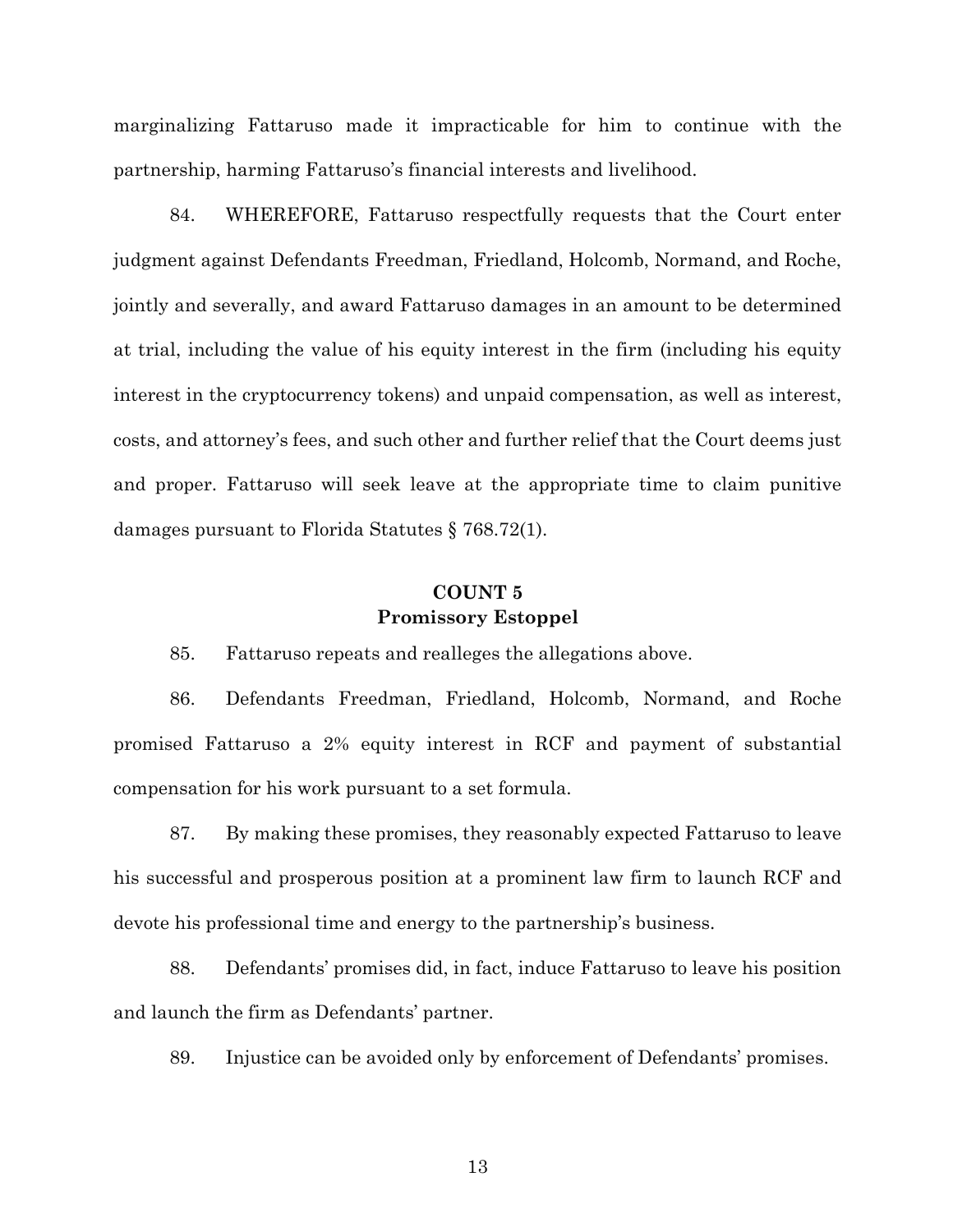marginalizing Fattaruso made it impracticable for him to continue with the partnership, harming Fattaruso's financial interests and livelihood.

84. WHEREFORE, Fattaruso respectfully requests that the Court enter judgment against Defendants Freedman, Friedland, Holcomb, Normand, and Roche, jointly and severally, and award Fattaruso damages in an amount to be determined at trial, including the value of his equity interest in the firm (including his equity interest in the cryptocurrency tokens) and unpaid compensation, as well as interest, costs, and attorney's fees, and such other and further relief that the Court deems just and proper. Fattaruso will seek leave at the appropriate time to claim punitive damages pursuant to Florida Statutes § 768.72(1).

#### **COUNT 5 Promissory Estoppel**

85. Fattaruso repeats and realleges the allegations above.

86. Defendants Freedman, Friedland, Holcomb, Normand, and Roche promised Fattaruso a 2% equity interest in RCF and payment of substantial compensation for his work pursuant to a set formula.

87. By making these promises, they reasonably expected Fattaruso to leave his successful and prosperous position at a prominent law firm to launch RCF and devote his professional time and energy to the partnership's business.

88. Defendants' promises did, in fact, induce Fattaruso to leave his position and launch the firm as Defendants' partner.

89. Injustice can be avoided only by enforcement of Defendants' promises.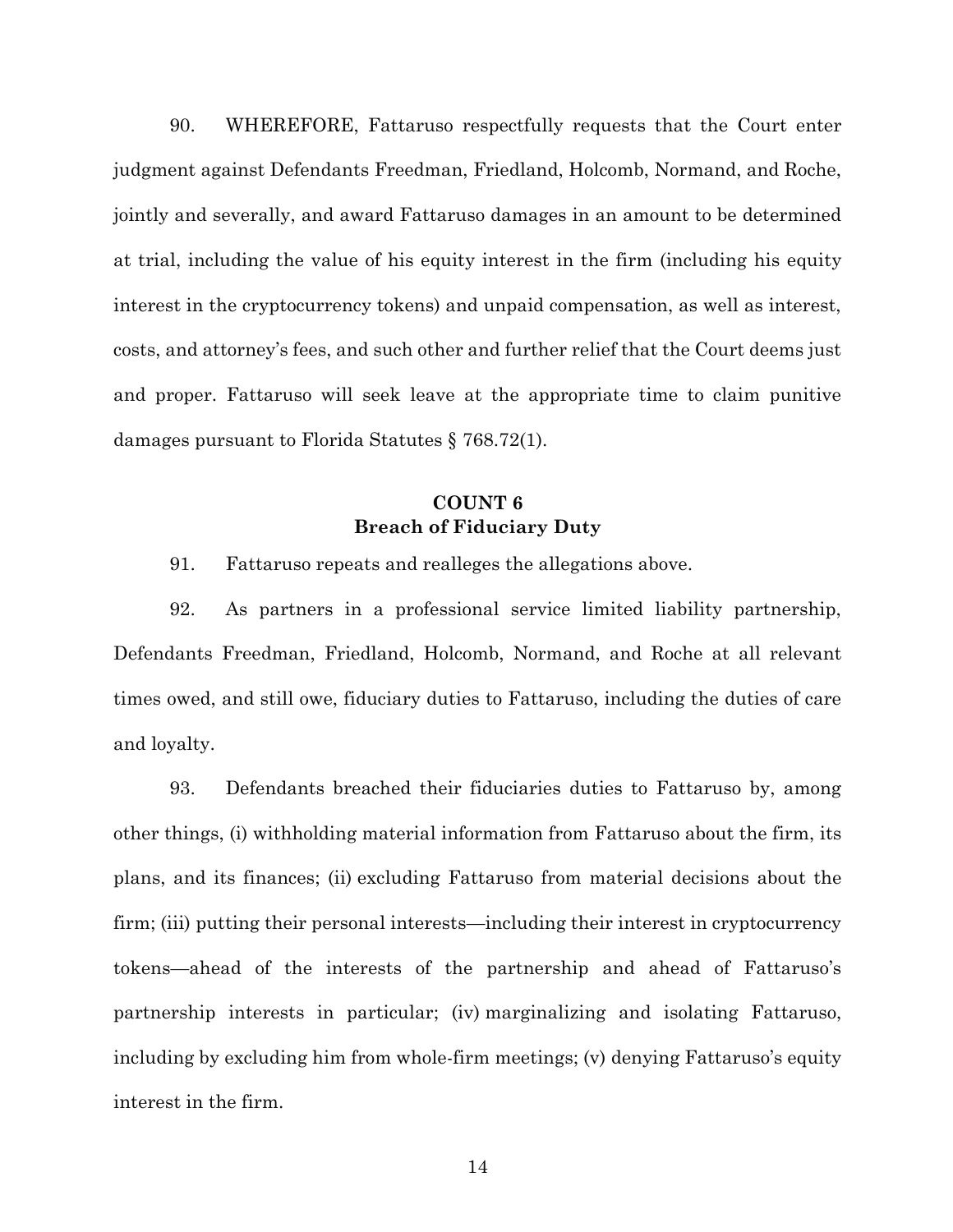90. WHEREFORE, Fattaruso respectfully requests that the Court enter judgment against Defendants Freedman, Friedland, Holcomb, Normand, and Roche, jointly and severally, and award Fattaruso damages in an amount to be determined at trial, including the value of his equity interest in the firm (including his equity interest in the cryptocurrency tokens) and unpaid compensation, as well as interest, costs, and attorney's fees, and such other and further relief that the Court deems just and proper. Fattaruso will seek leave at the appropriate time to claim punitive damages pursuant to Florida Statutes § 768.72(1).

# **COUNT 6 Breach of Fiduciary Duty**

91. Fattaruso repeats and realleges the allegations above.

92. As partners in a professional service limited liability partnership, Defendants Freedman, Friedland, Holcomb, Normand, and Roche at all relevant times owed, and still owe, fiduciary duties to Fattaruso, including the duties of care and loyalty.

93. Defendants breached their fiduciaries duties to Fattaruso by, among other things, (i) withholding material information from Fattaruso about the firm, its plans, and its finances; (ii) excluding Fattaruso from material decisions about the firm; (iii) putting their personal interests—including their interest in cryptocurrency tokens—ahead of the interests of the partnership and ahead of Fattaruso's partnership interests in particular; (iv) marginalizing and isolating Fattaruso, including by excluding him from whole-firm meetings; (v) denying Fattaruso's equity interest in the firm.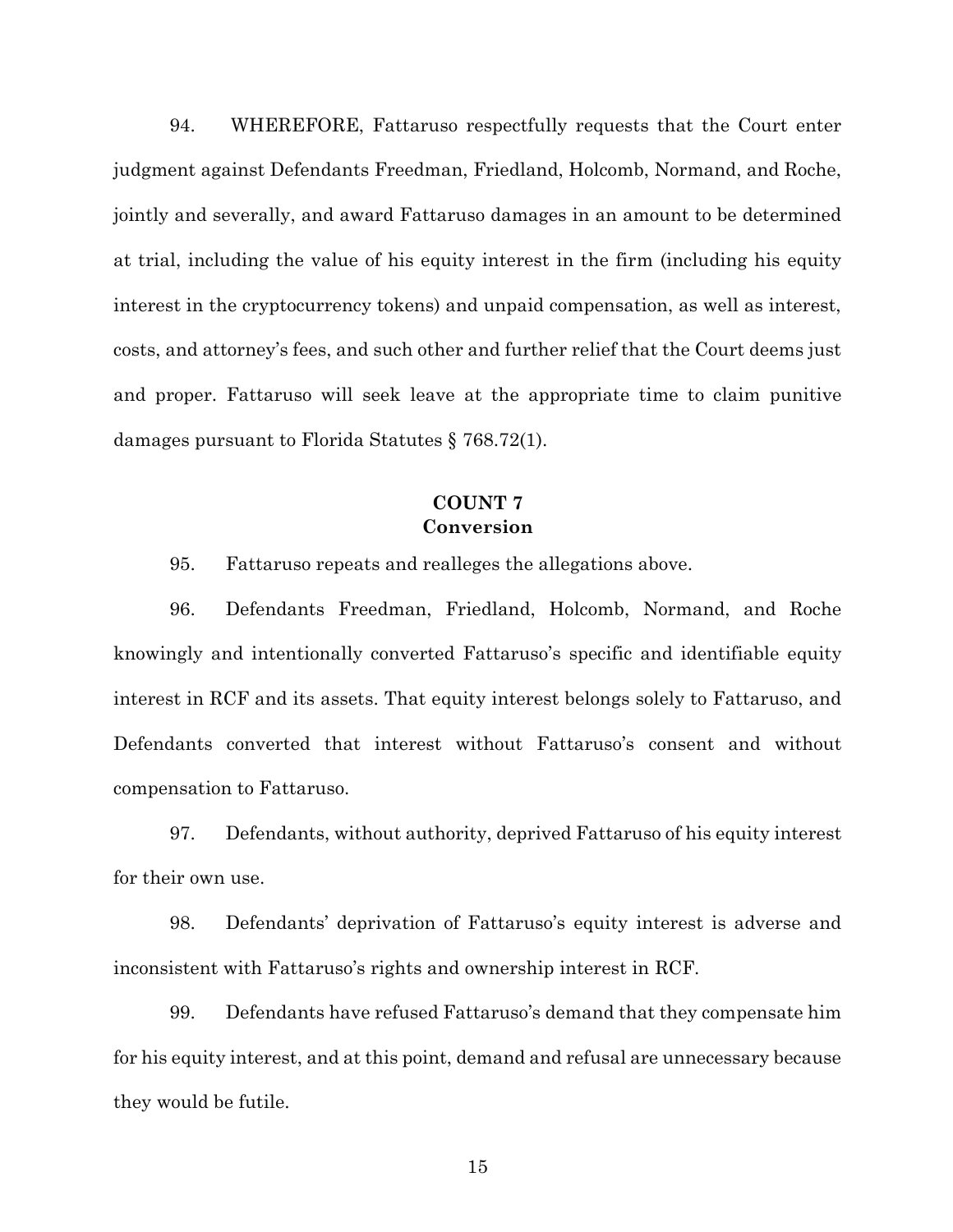94. WHEREFORE, Fattaruso respectfully requests that the Court enter judgment against Defendants Freedman, Friedland, Holcomb, Normand, and Roche, jointly and severally, and award Fattaruso damages in an amount to be determined at trial, including the value of his equity interest in the firm (including his equity interest in the cryptocurrency tokens) and unpaid compensation, as well as interest, costs, and attorney's fees, and such other and further relief that the Court deems just and proper. Fattaruso will seek leave at the appropriate time to claim punitive damages pursuant to Florida Statutes § 768.72(1).

## **COUNT 7 Conversion**

95. Fattaruso repeats and realleges the allegations above.

96. Defendants Freedman, Friedland, Holcomb, Normand, and Roche knowingly and intentionally converted Fattaruso's specific and identifiable equity interest in RCF and its assets. That equity interest belongs solely to Fattaruso, and Defendants converted that interest without Fattaruso's consent and without compensation to Fattaruso.

97. Defendants, without authority, deprived Fattaruso of his equity interest for their own use.

98. Defendants' deprivation of Fattaruso's equity interest is adverse and inconsistent with Fattaruso's rights and ownership interest in RCF.

99. Defendants have refused Fattaruso's demand that they compensate him for his equity interest, and at this point, demand and refusal are unnecessary because they would be futile.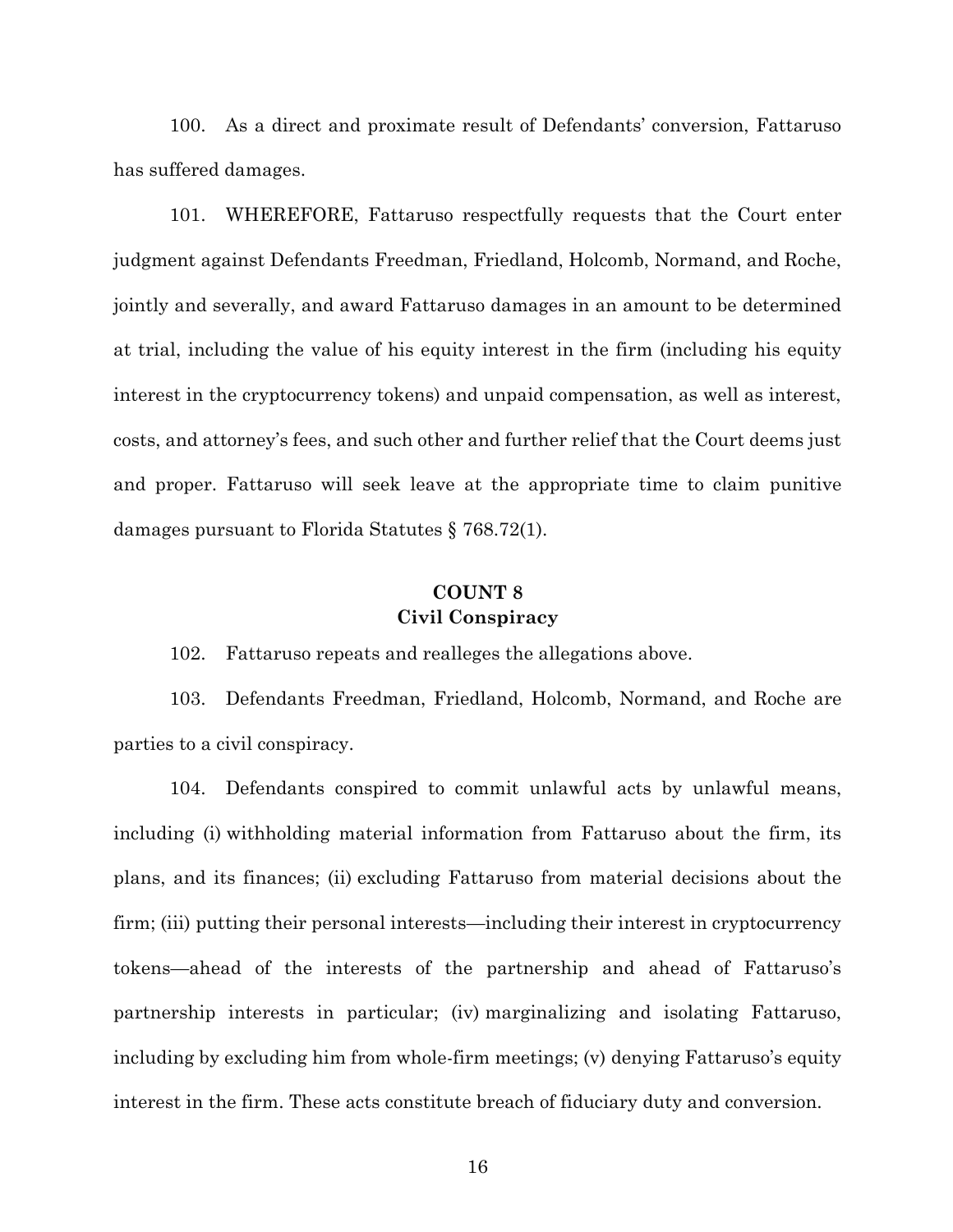100. As a direct and proximate result of Defendants' conversion, Fattaruso has suffered damages.

101. WHEREFORE, Fattaruso respectfully requests that the Court enter judgment against Defendants Freedman, Friedland, Holcomb, Normand, and Roche, jointly and severally, and award Fattaruso damages in an amount to be determined at trial, including the value of his equity interest in the firm (including his equity interest in the cryptocurrency tokens) and unpaid compensation, as well as interest, costs, and attorney's fees, and such other and further relief that the Court deems just and proper. Fattaruso will seek leave at the appropriate time to claim punitive damages pursuant to Florida Statutes § 768.72(1).

## **COUNT 8 Civil Conspiracy**

102. Fattaruso repeats and realleges the allegations above.

103. Defendants Freedman, Friedland, Holcomb, Normand, and Roche are parties to a civil conspiracy.

104. Defendants conspired to commit unlawful acts by unlawful means, including (i) withholding material information from Fattaruso about the firm, its plans, and its finances; (ii) excluding Fattaruso from material decisions about the firm; (iii) putting their personal interests—including their interest in cryptocurrency tokens—ahead of the interests of the partnership and ahead of Fattaruso's partnership interests in particular; (iv) marginalizing and isolating Fattaruso, including by excluding him from whole-firm meetings; (v) denying Fattaruso's equity interest in the firm. These acts constitute breach of fiduciary duty and conversion.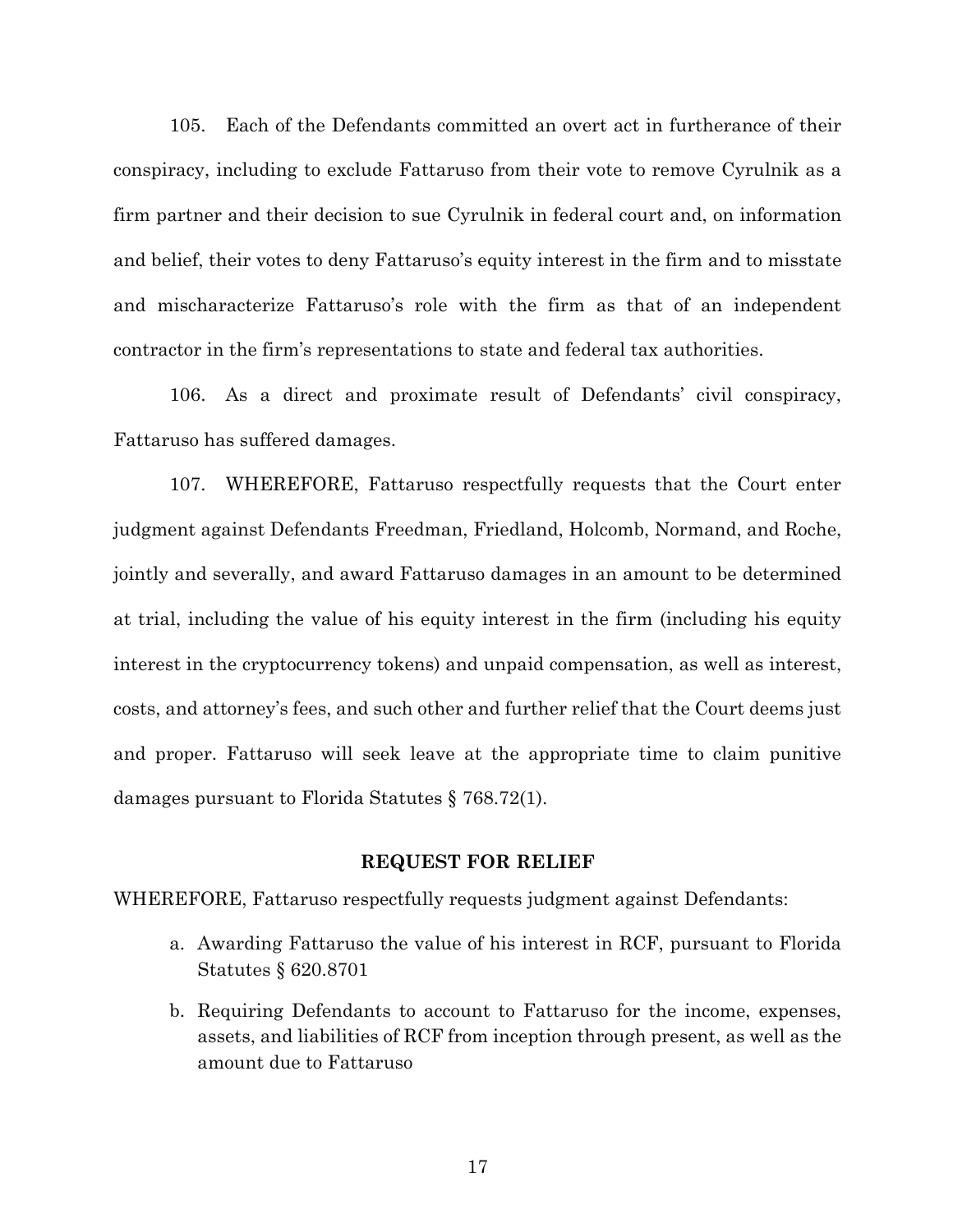105. Each of the Defendants committed an overt act in furtherance of their conspiracy, including to exclude Fattaruso from their vote to remove Cyrulnik as a firm partner and their decision to sue Cyrulnik in federal court and, on information and belief, their votes to deny Fattaruso's equity interest in the firm and to misstate and mischaracterize Fattaruso's role with the firm as that of an independent contractor in the firm's representations to state and federal tax authorities.

106. As a direct and proximate result of Defendants' civil conspiracy, Fattaruso has suffered damages.

107. WHEREFORE, Fattaruso respectfully requests that the Court enter judgment against Defendants Freedman, Friedland, Holcomb, Normand, and Roche, jointly and severally, and award Fattaruso damages in an amount to be determined at trial, including the value of his equity interest in the firm (including his equity interest in the cryptocurrency tokens) and unpaid compensation, as well as interest, costs, and attorney's fees, and such other and further relief that the Court deems just and proper. Fattaruso will seek leave at the appropriate time to claim punitive damages pursuant to Florida Statutes § 768.72(1).

#### **REQUEST FOR RELIEF**

WHEREFORE, Fattaruso respectfully requests judgment against Defendants:

- a. Awarding Fattaruso the value of his interest in RCF, pursuant to Florida Statutes § 620.8701
- b. Requiring Defendants to account to Fattaruso for the income, expenses, assets, and liabilities of RCF from inception through present, as well as the amount due to Fattaruso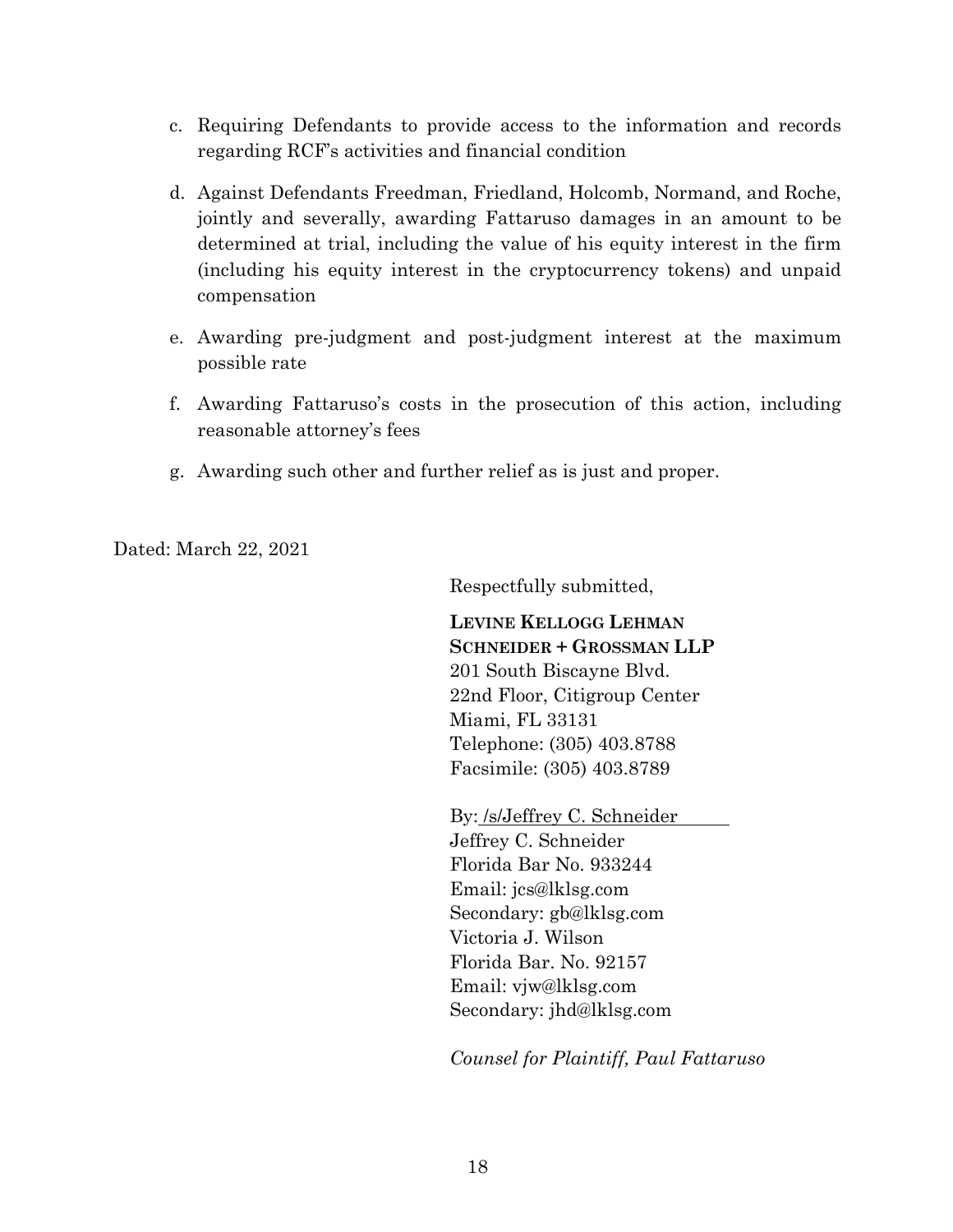- c. Requiring Defendants to provide access to the information and records regarding RCF's activities and financial condition
- d. Against Defendants Freedman, Friedland, Holcomb, Normand, and Roche, jointly and severally, awarding Fattaruso damages in an amount to be determined at trial, including the value of his equity interest in the firm (including his equity interest in the cryptocurrency tokens) and unpaid compensation
- e. Awarding pre-judgment and post-judgment interest at the maximum possible rate
- f. Awarding Fattaruso's costs in the prosecution of this action, including reasonable attorney's fees
- g. Awarding such other and further relief as is just and proper.

Dated: March 22, 2021

Respectfully submitted,

**LEVINE KELLOGG LEHMAN SCHNEIDER + GROSSMAN LLP** 201 South Biscayne Blvd. 22nd Floor, Citigroup Center Miami, FL 33131 Telephone: (305) 403.8788 Facsimile: (305) 403.8789

By: /s/Jeffrey C. Schneider Jeffrey C. Schneider Florida Bar No. 933244 Email: jcs@lklsg.com Secondary: gb@lklsg.com Victoria J. Wilson Florida Bar. No. 92157 Email: vjw@lklsg.com Secondary: jhd@lklsg.com

*Counsel for Plaintiff, Paul Fattaruso*